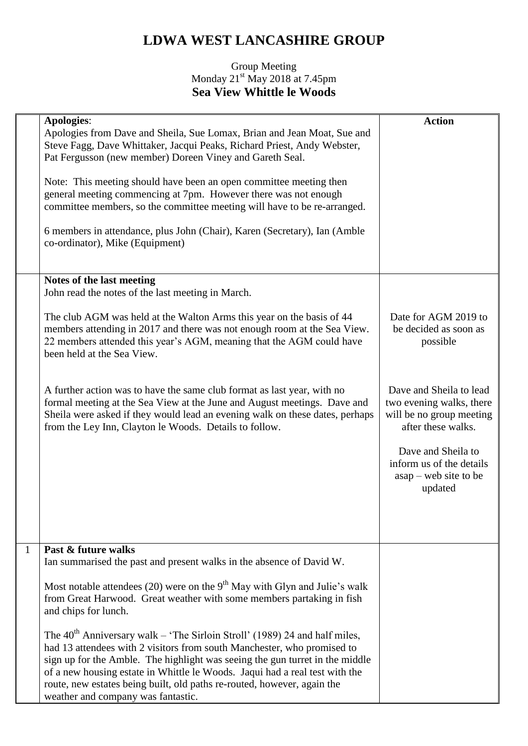## **LDWA WEST LANCASHIRE GROUP**

## Group Meeting Monday  $21^{st}$  May 2018 at 7.45pm **Sea View Whittle le Woods**

|              | <b>Apologies:</b><br>Apologies from Dave and Sheila, Sue Lomax, Brian and Jean Moat, Sue and<br>Steve Fagg, Dave Whittaker, Jacqui Peaks, Richard Priest, Andy Webster,<br>Pat Fergusson (new member) Doreen Viney and Gareth Seal.<br>Note: This meeting should have been an open committee meeting then<br>general meeting commencing at 7pm. However there was not enough<br>committee members, so the committee meeting will have to be re-arranged.<br>6 members in attendance, plus John (Chair), Karen (Secretary), Ian (Amble<br>co-ordinator), Mike (Equipment) | <b>Action</b>                                                                                                                                                                                 |
|--------------|--------------------------------------------------------------------------------------------------------------------------------------------------------------------------------------------------------------------------------------------------------------------------------------------------------------------------------------------------------------------------------------------------------------------------------------------------------------------------------------------------------------------------------------------------------------------------|-----------------------------------------------------------------------------------------------------------------------------------------------------------------------------------------------|
|              | Notes of the last meeting<br>John read the notes of the last meeting in March.                                                                                                                                                                                                                                                                                                                                                                                                                                                                                           |                                                                                                                                                                                               |
|              | The club AGM was held at the Walton Arms this year on the basis of 44<br>members attending in 2017 and there was not enough room at the Sea View.<br>22 members attended this year's AGM, meaning that the AGM could have<br>been held at the Sea View.                                                                                                                                                                                                                                                                                                                  | Date for AGM 2019 to<br>be decided as soon as<br>possible                                                                                                                                     |
|              | A further action was to have the same club format as last year, with no<br>formal meeting at the Sea View at the June and August meetings. Dave and<br>Sheila were asked if they would lead an evening walk on these dates, perhaps<br>from the Ley Inn, Clayton le Woods. Details to follow.                                                                                                                                                                                                                                                                            | Dave and Sheila to lead<br>two evening walks, there<br>will be no group meeting<br>after these walks.<br>Dave and Sheila to<br>inform us of the details<br>$asap - web site to be$<br>updated |
|              |                                                                                                                                                                                                                                                                                                                                                                                                                                                                                                                                                                          |                                                                                                                                                                                               |
| $\mathbf{1}$ | Past & future walks<br>Ian summarised the past and present walks in the absence of David W.                                                                                                                                                                                                                                                                                                                                                                                                                                                                              |                                                                                                                                                                                               |
|              | Most notable attendees (20) were on the $9th$ May with Glyn and Julie's walk<br>from Great Harwood. Great weather with some members partaking in fish<br>and chips for lunch.                                                                                                                                                                                                                                                                                                                                                                                            |                                                                                                                                                                                               |
|              | The 40 <sup>th</sup> Anniversary walk – 'The Sirloin Stroll' (1989) 24 and half miles,<br>had 13 attendees with 2 visitors from south Manchester, who promised to<br>sign up for the Amble. The highlight was seeing the gun turret in the middle<br>of a new housing estate in Whittle le Woods. Jaqui had a real test with the<br>route, new estates being built, old paths re-routed, however, again the<br>weather and company was fantastic.                                                                                                                        |                                                                                                                                                                                               |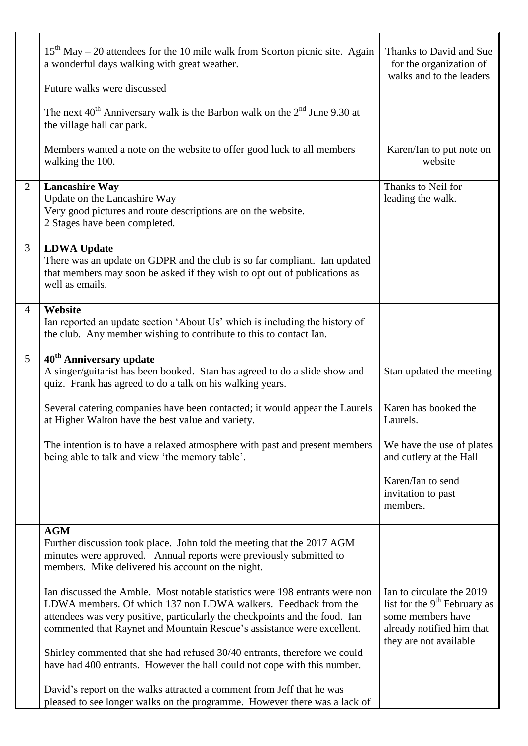|                | $15th$ May – 20 attendees for the 10 mile walk from Scorton picnic site. Again<br>a wonderful days walking with great weather.                                                                                                                                                                         | Thanks to David and Sue<br>for the organization of<br>walks and to the leaders                                                                    |
|----------------|--------------------------------------------------------------------------------------------------------------------------------------------------------------------------------------------------------------------------------------------------------------------------------------------------------|---------------------------------------------------------------------------------------------------------------------------------------------------|
|                | Future walks were discussed                                                                                                                                                                                                                                                                            |                                                                                                                                                   |
|                | The next $40^{th}$ Anniversary walk is the Barbon walk on the $2^{nd}$ June 9.30 at<br>the village hall car park.                                                                                                                                                                                      |                                                                                                                                                   |
|                | Members wanted a note on the website to offer good luck to all members<br>walking the 100.                                                                                                                                                                                                             | Karen/Ian to put note on<br>website                                                                                                               |
| 2              | <b>Lancashire Way</b><br>Update on the Lancashire Way<br>Very good pictures and route descriptions are on the website.<br>2 Stages have been completed.                                                                                                                                                | Thanks to Neil for<br>leading the walk.                                                                                                           |
| $\mathfrak{Z}$ | <b>LDWA Update</b><br>There was an update on GDPR and the club is so far compliant. Ian updated<br>that members may soon be asked if they wish to opt out of publications as<br>well as emails.                                                                                                        |                                                                                                                                                   |
| $\overline{4}$ | Website<br>Ian reported an update section 'About Us' which is including the history of<br>the club. Any member wishing to contribute to this to contact Ian.                                                                                                                                           |                                                                                                                                                   |
| 5 <sup>5</sup> | 40 <sup>th</sup> Anniversary update<br>A singer/guitarist has been booked. Stan has agreed to do a slide show and<br>quiz. Frank has agreed to do a talk on his walking years.                                                                                                                         | Stan updated the meeting                                                                                                                          |
|                | Several catering companies have been contacted; it would appear the Laurels<br>at Higher Walton have the best value and variety.                                                                                                                                                                       | Karen has booked the<br>Laurels.                                                                                                                  |
|                | The intention is to have a relaxed atmosphere with past and present members<br>being able to talk and view 'the memory table'.                                                                                                                                                                         | We have the use of plates<br>and cutlery at the Hall                                                                                              |
|                |                                                                                                                                                                                                                                                                                                        | Karen/Ian to send<br>invitation to past<br>members.                                                                                               |
|                | <b>AGM</b><br>Further discussion took place. John told the meeting that the 2017 AGM<br>minutes were approved. Annual reports were previously submitted to<br>members. Mike delivered his account on the night.                                                                                        |                                                                                                                                                   |
|                | Ian discussed the Amble. Most notable statistics were 198 entrants were non<br>LDWA members. Of which 137 non LDWA walkers. Feedback from the<br>attendees was very positive, particularly the checkpoints and the food. Ian<br>commented that Raynet and Mountain Rescue's assistance were excellent. | Ian to circulate the 2019<br>list for the 9 <sup>th</sup> February as<br>some members have<br>already notified him that<br>they are not available |
|                | Shirley commented that she had refused 30/40 entrants, therefore we could<br>have had 400 entrants. However the hall could not cope with this number.                                                                                                                                                  |                                                                                                                                                   |
|                | David's report on the walks attracted a comment from Jeff that he was<br>pleased to see longer walks on the programme. However there was a lack of                                                                                                                                                     |                                                                                                                                                   |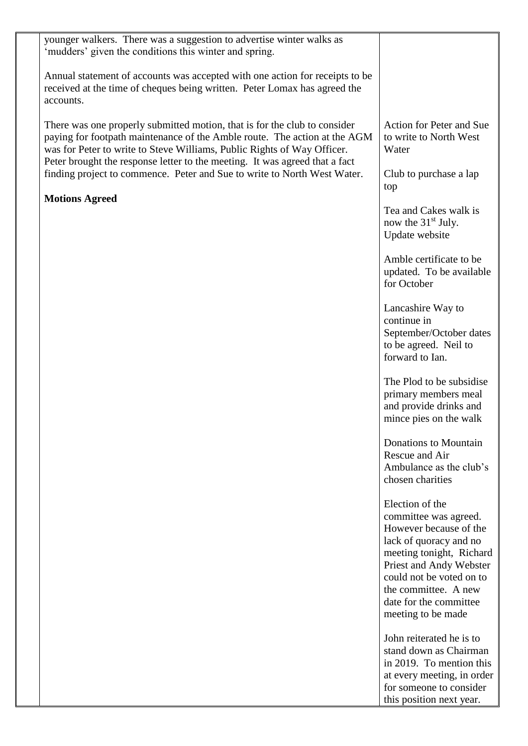| younger walkers. There was a suggestion to advertise winter walks as<br>'mudders' given the conditions this winter and spring.                                                                                                                                                                                   |                                                                                                                                                                                                                                                         |
|------------------------------------------------------------------------------------------------------------------------------------------------------------------------------------------------------------------------------------------------------------------------------------------------------------------|---------------------------------------------------------------------------------------------------------------------------------------------------------------------------------------------------------------------------------------------------------|
| Annual statement of accounts was accepted with one action for receipts to be<br>received at the time of cheques being written. Peter Lomax has agreed the<br>accounts.                                                                                                                                           |                                                                                                                                                                                                                                                         |
| There was one properly submitted motion, that is for the club to consider<br>paying for footpath maintenance of the Amble route. The action at the AGM<br>was for Peter to write to Steve Williams, Public Rights of Way Officer.<br>Peter brought the response letter to the meeting. It was agreed that a fact | Action for Peter and Sue<br>to write to North West<br>Water                                                                                                                                                                                             |
| finding project to commence. Peter and Sue to write to North West Water.                                                                                                                                                                                                                                         | Club to purchase a lap<br>top                                                                                                                                                                                                                           |
| <b>Motions Agreed</b>                                                                                                                                                                                                                                                                                            | Tea and Cakes walk is<br>now the $31st$ July.<br>Update website                                                                                                                                                                                         |
|                                                                                                                                                                                                                                                                                                                  | Amble certificate to be<br>updated. To be available<br>for October                                                                                                                                                                                      |
|                                                                                                                                                                                                                                                                                                                  | Lancashire Way to<br>continue in<br>September/October dates<br>to be agreed. Neil to<br>forward to Ian.                                                                                                                                                 |
|                                                                                                                                                                                                                                                                                                                  | The Plod to be subsidise<br>primary members meal<br>and provide drinks and<br>mince pies on the walk                                                                                                                                                    |
|                                                                                                                                                                                                                                                                                                                  | Donations to Mountain<br>Rescue and Air<br>Ambulance as the club's<br>chosen charities                                                                                                                                                                  |
|                                                                                                                                                                                                                                                                                                                  | Election of the<br>committee was agreed.<br>However because of the<br>lack of quoracy and no<br>meeting tonight, Richard<br>Priest and Andy Webster<br>could not be voted on to<br>the committee. A new<br>date for the committee<br>meeting to be made |
|                                                                                                                                                                                                                                                                                                                  | John reiterated he is to<br>stand down as Chairman<br>in 2019. To mention this<br>at every meeting, in order<br>for someone to consider<br>this position next year.                                                                                     |